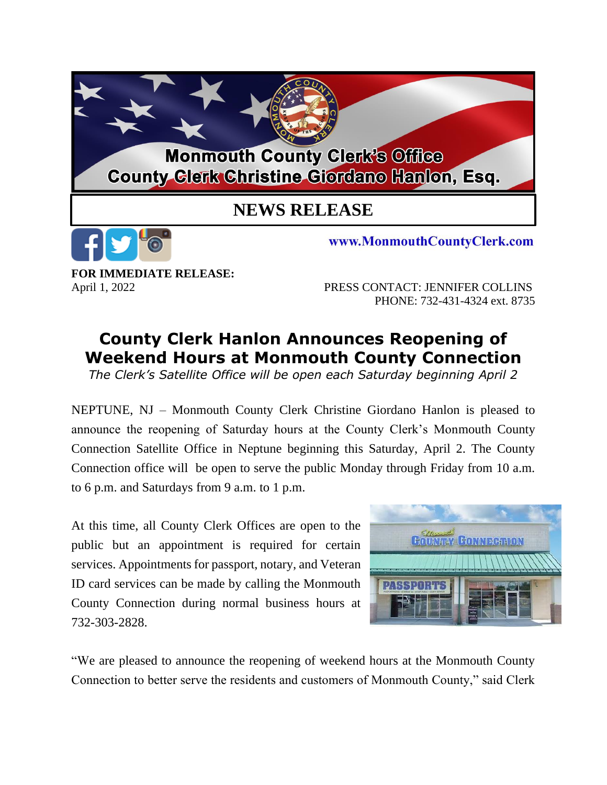

**FOR IMMEDIATE RELEASE:**

April 1, 2022PRESS CONTACT: JENNIFER COLLINS PHONE: 732-431-4324 ext. 8735

## **County Clerk Hanlon Announces Reopening of Weekend Hours at Monmouth County Connection**

*The Clerk's Satellite Office will be open each Saturday beginning April 2*

NEPTUNE, NJ – Monmouth County Clerk Christine Giordano Hanlon is pleased to announce the reopening of Saturday hours at the County Clerk's Monmouth County Connection Satellite Office in Neptune beginning this Saturday, April 2. The County Connection office will be open to serve the public Monday through Friday from 10 a.m. to 6 p.m. and Saturdays from 9 a.m. to 1 p.m.

At this time, all County Clerk Offices are open to the public but an appointment is required for certain services. Appointments for passport, notary, and Veteran ID card services can be made by calling the Monmouth County Connection during normal business hours at 732-303-2828.



"We are pleased to announce the reopening of weekend hours at the Monmouth County Connection to better serve the residents and customers of Monmouth County," said Clerk